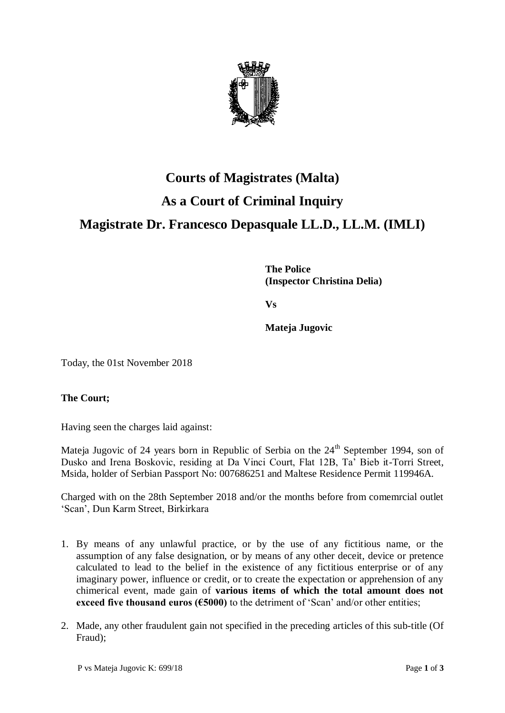

# **Courts of Magistrates (Malta) As a Court of Criminal Inquiry Magistrate Dr. Francesco Depasquale LL.D., LL.M. (IMLI)**

**The Police (Inspector Christina Delia)**

**Vs**

**Mateja Jugovic**

Today, the 01st November 2018

### **The Court;**

Having seen the charges laid against:

Mateja Jugovic of 24 years born in Republic of Serbia on the 24<sup>th</sup> September 1994, son of Dusko and Irena Boskovic, residing at Da Vinci Court, Flat 12B, Ta' Bieb it-Torri Street, Msida, holder of Serbian Passport No: 007686251 and Maltese Residence Permit 119946A.

Charged with on the 28th September 2018 and/or the months before from comemrcial outlet 'Scan', Dun Karm Street, Birkirkara

- 1. By means of any unlawful practice, or by the use of any fictitious name, or the assumption of any false designation, or by means of any other deceit, device or pretence calculated to lead to the belief in the existence of any fictitious enterprise or of any imaginary power, influence or credit, or to create the expectation or apprehension of any chimerical event, made gain of **various items of which the total amount does not exceed five thousand euros (€5000)** to the detriment of 'Scan' and/or other entities;
- 2. Made, any other fraudulent gain not specified in the preceding articles of this sub-title (Of Fraud);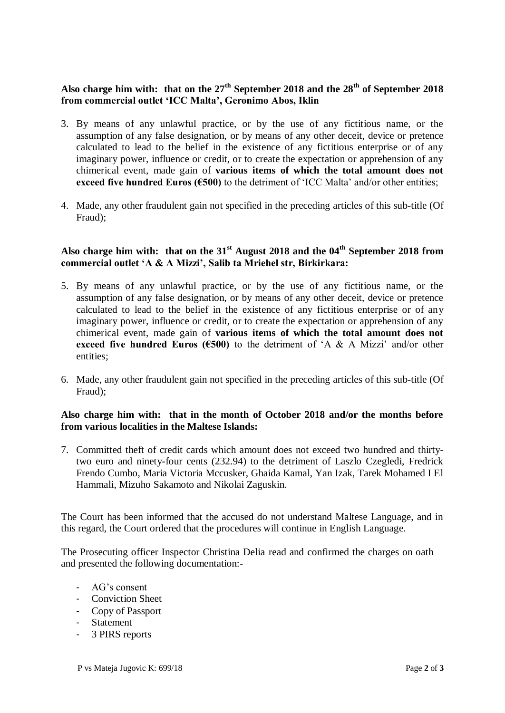## **Also charge him with: that on the 27th September 2018 and the 28th of September 2018 from commercial outlet 'ICC Malta', Geronimo Abos, Iklin**

- 3. By means of any unlawful practice, or by the use of any fictitious name, or the assumption of any false designation, or by means of any other deceit, device or pretence calculated to lead to the belief in the existence of any fictitious enterprise or of any imaginary power, influence or credit, or to create the expectation or apprehension of any chimerical event, made gain of **various items of which the total amount does not exceed five hundred Euros (€500)** to the detriment of 'ICC Malta' and/or other entities;
- 4. Made, any other fraudulent gain not specified in the preceding articles of this sub-title (Of Fraud);

## **Also charge him with: that on the 31st August 2018 and the 04th September 2018 from commercial outlet 'A & A Mizzi', Salib ta Mriehel str, Birkirkara:**

- 5. By means of any unlawful practice, or by the use of any fictitious name, or the assumption of any false designation, or by means of any other deceit, device or pretence calculated to lead to the belief in the existence of any fictitious enterprise or of any imaginary power, influence or credit, or to create the expectation or apprehension of any chimerical event, made gain of **various items of which the total amount does not exceed five hundred Euros (** $6500$ **)** to the detriment of 'A & A Mizzi' and/or other entities;
- 6. Made, any other fraudulent gain not specified in the preceding articles of this sub-title (Of Fraud);

### **Also charge him with: that in the month of October 2018 and/or the months before from various localities in the Maltese Islands:**

7. Committed theft of credit cards which amount does not exceed two hundred and thirtytwo euro and ninety-four cents (232.94) to the detriment of Laszlo Czegledi, Fredrick Frendo Cumbo, Maria Victoria Mccusker, Ghaida Kamal, Yan Izak, Tarek Mohamed I El Hammali, Mizuho Sakamoto and Nikolai Zaguskin.

The Court has been informed that the accused do not understand Maltese Language, and in this regard, the Court ordered that the procedures will continue in English Language.

The Prosecuting officer Inspector Christina Delia read and confirmed the charges on oath and presented the following documentation:-

- AG's consent
- Conviction Sheet
- Copy of Passport
- **Statement**
- 3 PIRS reports